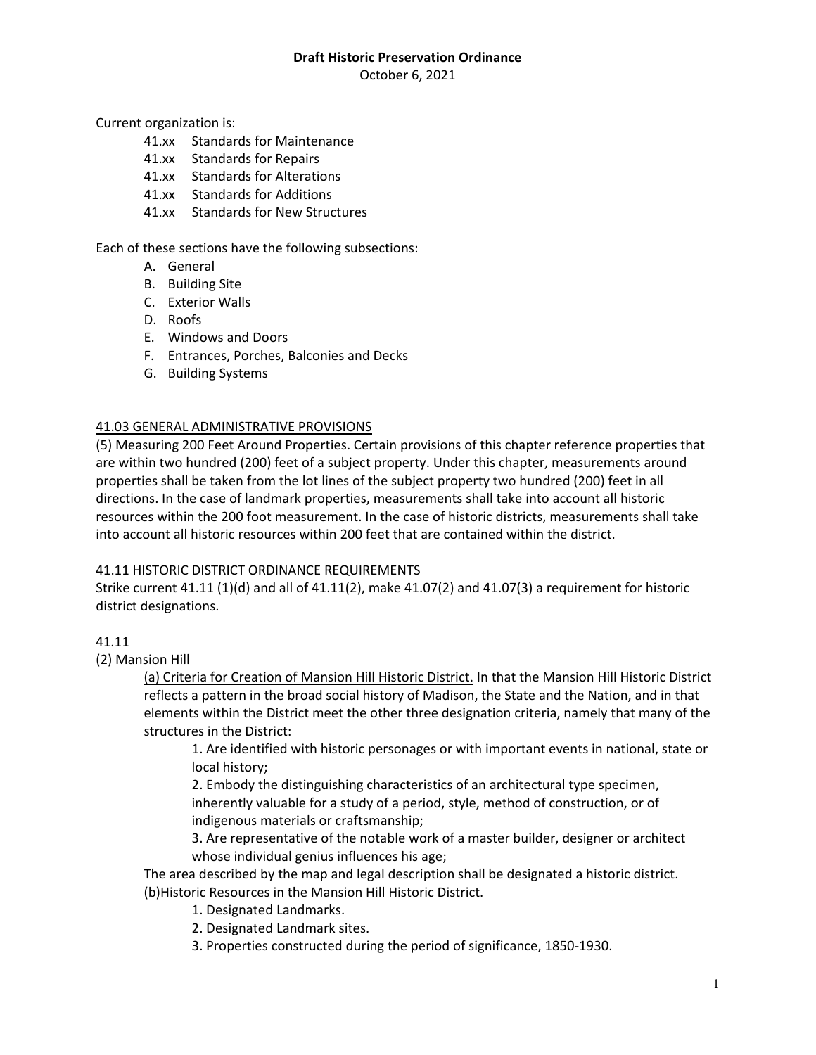October 6, 2021

Current organization is:

- 41.xx Standards for Maintenance
- 41.xx Standards for Repairs
- 41.xx Standards for Alterations
- 41.xx Standards for Additions
- 41.xx Standards for New Structures

Each of these sections have the following subsections:

- A. General
- B. Building Site
- C. Exterior Walls
- D. Roofs
- E. Windows and Doors
- F. Entrances, Porches, Balconies and Decks
- G. Building Systems

#### 41.03 GENERAL ADMINISTRATIVE PROVISIONS

(5) Measuring 200 Feet Around Properties. Certain provisions of this chapter reference properties that are within two hundred (200) feet of a subject property. Under this chapter, measurements around properties shall be taken from the lot lines of the subject property two hundred (200) feet in all directions. In the case of landmark properties, measurements shall take into account all historic resources within the 200 foot measurement. In the case of historic districts, measurements shall take into account all historic resources within 200 feet that are contained within the district.

#### 41.11 HISTORIC DISTRICT ORDINANCE REQUIREMENTS

Strike current  $41.11 (1)(d)$  and all of  $41.11(2)$ , make  $41.07(2)$  and  $41.07(3)$  a requirement for historic district designations.

#### 41.11

(2) Mansion Hill

(a) Criteria for Creation of Mansion Hill Historic District. In that the Mansion Hill Historic District reflects a pattern in the broad social history of Madison, the State and the Nation, and in that elements within the District meet the other three designation criteria, namely that many of the structures in the District:

1. Are identified with historic personages or with important events in national, state or local history;

2. Embody the distinguishing characteristics of an architectural type specimen, inherently valuable for a study of a period, style, method of construction, or of indigenous materials or craftsmanship;

3. Are representative of the notable work of a master builder, designer or architect whose individual genius influences his age;

The area described by the map and legal description shall be designated a historic district. (b)Historic Resources in the Mansion Hill Historic District.

- 1. Designated Landmarks.
- 2. Designated Landmark sites.
- 3. Properties constructed during the period of significance, 1850-1930.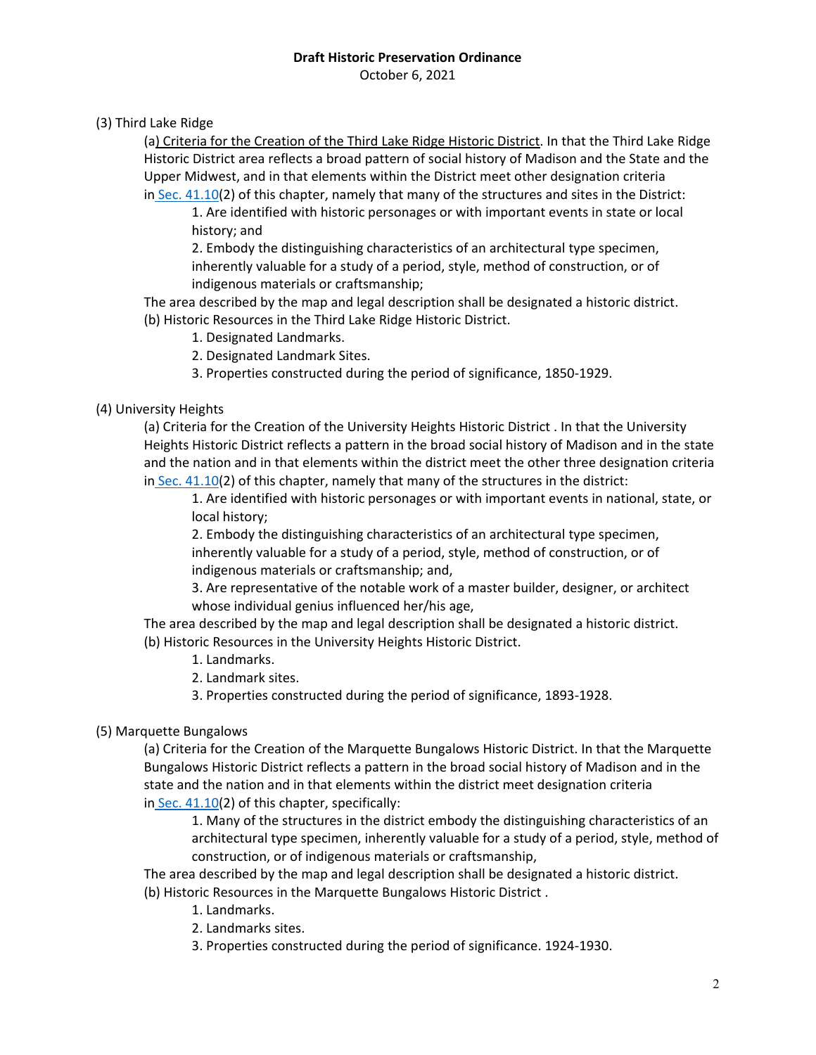October 6, 2021

## (3) Third Lake Ridge

(a) Criteria for the Creation of the Third Lake Ridge Historic District. In that the Third Lake Ridge Historic District area reflects a broad pattern of social history of Madison and the State and the Upper Midwest, and in that elements within the District meet other designation criteria in Sec. [41.10\(](https://library.municode.com/wi/madison/codes/code_of_ordinances?nodeId=COORMAWIVOIVCH32--45_CH41HIPR_SUBCHAPTER_41DHIDI_41.10CRAMHIDI)2) of this chapter, namely that many of the structures and sites in the District:

1. Are identified with historic personages or with important events in state or local history; and

2. Embody the distinguishing characteristics of an architectural type specimen, inherently valuable for a study of a period, style, method of construction, or of indigenous materials or craftsmanship;

The area described by the map and legal description shall be designated a historic district. (b) Historic Resources in the Third Lake Ridge Historic District.

- 1. Designated Landmarks.
- 2. Designated Landmark Sites.
- 3. Properties constructed during the period of significance, 1850-1929.

### (4) University Heights

(a) Criteria for the Creation of the University Heights Historic District . In that the University Heights Historic District reflects a pattern in the broad social history of Madison and in the state and the nation and in that elements within the district meet the other three designation criteria in Sec. [41.10\(](https://library.municode.com/wi/madison/codes/code_of_ordinances?nodeId=COORMAWIVOIVCH32--45_CH41HIPR_SUBCHAPTER_41DHIDI_41.10CRAMHIDI)2) of this chapter, namely that many of the structures in the district:

1. Are identified with historic personages or with important events in national, state, or local history;

2. Embody the distinguishing characteristics of an architectural type specimen, inherently valuable for a study of a period, style, method of construction, or of indigenous materials or craftsmanship; and,

3. Are representative of the notable work of a master builder, designer, or architect whose individual genius influenced her/his age,

The area described by the map and legal description shall be designated a historic district. (b) Historic Resources in the University Heights Historic District.

- 1. Landmarks.
- 2. Landmark sites.

3. Properties constructed during the period of significance, 1893-1928.

## (5) Marquette Bungalows

(a) Criteria for the Creation of the Marquette Bungalows Historic District. In that the Marquette Bungalows Historic District reflects a pattern in the broad social history of Madison and in the state and the nation and in that elements within the district meet designation criteria in Sec. [41.10\(](https://library.municode.com/wi/madison/codes/code_of_ordinances?nodeId=COORMAWIVOIVCH32--45_CH41HIPR_SUBCHAPTER_41DHIDI_41.10CRAMHIDI)2) of this chapter, specifically:

1. Many of the structures in the district embody the distinguishing characteristics of an architectural type specimen, inherently valuable for a study of a period, style, method of construction, or of indigenous materials or craftsmanship,

The area described by the map and legal description shall be designated a historic district. (b) Historic Resources in the Marquette Bungalows Historic District .

- 1. Landmarks.
- 2. Landmarks sites.
- 3. Properties constructed during the period of significance. 1924-1930.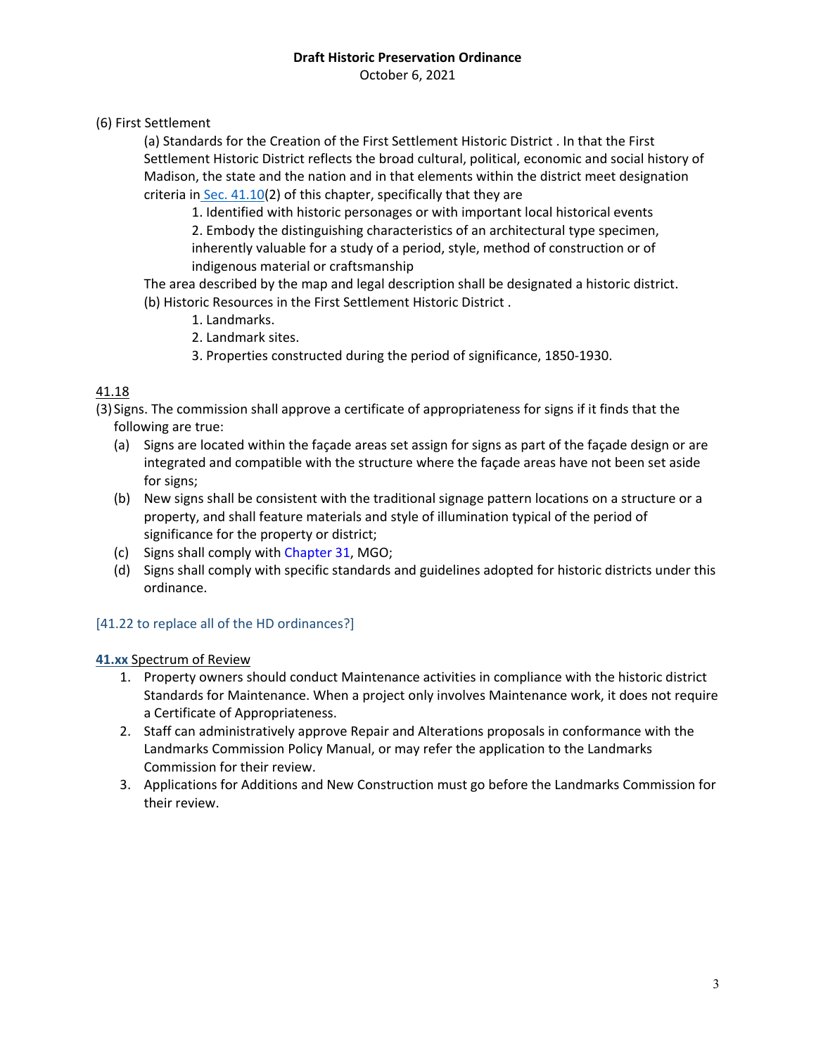October 6, 2021

(6) First Settlement

(a) Standards for the Creation of the First Settlement Historic District . In that the First Settlement Historic District reflects the broad cultural, political, economic and social history of Madison, the state and the nation and in that elements within the district meet designation criteria in Sec. [41.10\(](https://library.municode.com/wi/madison/codes/code_of_ordinances?nodeId=COORMAWIVOIVCH32--45_CH41HIPR_SUBCHAPTER_41DHIDI_41.10CRAMHIDI)2) of this chapter, specifically that they are

1. Identified with historic personages or with important local historical events

2. Embody the distinguishing characteristics of an architectural type specimen, inherently valuable for a study of a period, style, method of construction or of indigenous material or craftsmanship

- The area described by the map and legal description shall be designated a historic district. (b) Historic Resources in the First Settlement Historic District .
	- 1. Landmarks.
	- 2. Landmark sites.
	- 3. Properties constructed during the period of significance, 1850-1930.

# 41.18

(3) Signs. The commission shall approve a certificate of appropriateness for signs if it finds that the following are true:

- (a) Signs are located within the façade areas set assign for signs as part of the façade design or are integrated and compatible with the structure where the façade areas have not been set aside for signs;
- (b) New signs shall be consistent with the traditional signage pattern locations on a structure or a property, and shall feature materials and style of illumination typical of the period of significance for the property or district;
- (c) Signs shall comply with Chapter 31, MGO;
- (d) Signs shall comply with specific standards and guidelines adopted for historic districts under this ordinance.

# [41.22 to replace all of the HD ordinances?]

## **41.xx** Spectrum of Review

- 1. Property owners should conduct Maintenance activities in compliance with the historic district Standards for Maintenance. When a project only involves Maintenance work, it does not require a Certificate of Appropriateness.
- 2. Staff can administratively approve Repair and Alterations proposals in conformance with the Landmarks Commission Policy Manual, or may refer the application to the Landmarks Commission for their review.
- 3. Applications for Additions and New Construction must go before the Landmarks Commission for their review.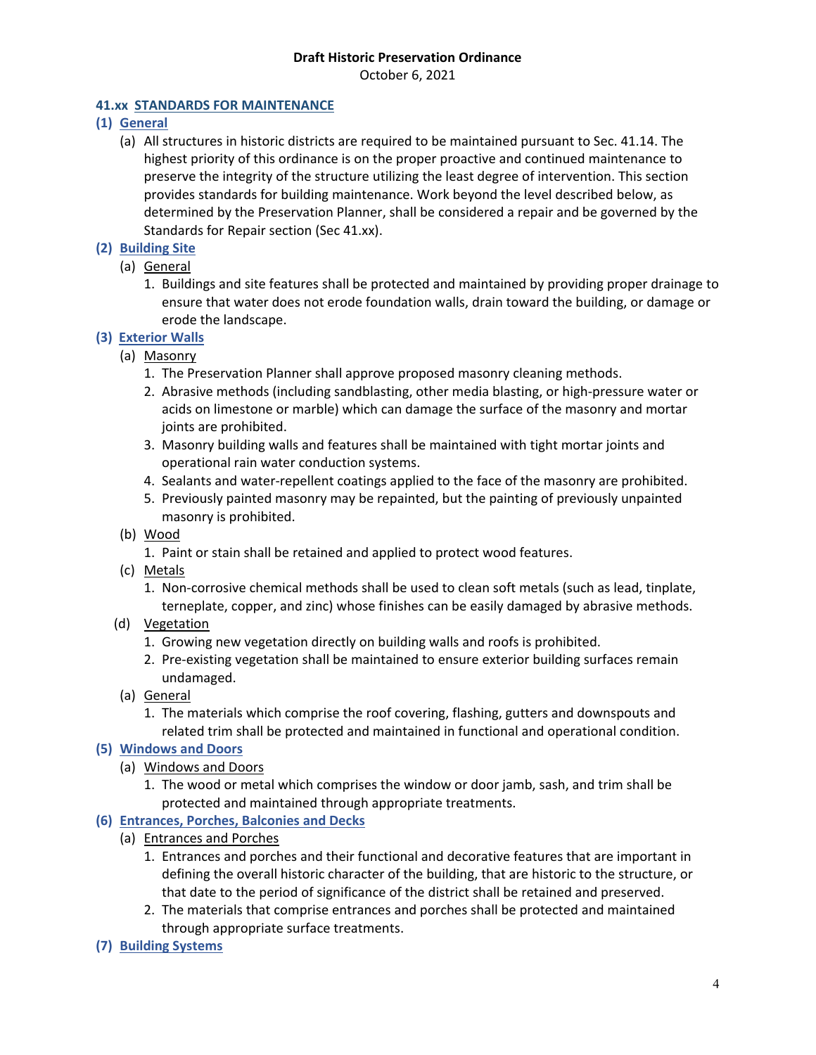October 6, 2021

## **41.xx STANDARDS FOR MAINTENANCE**

- **(1) General**
	- (a) All structures in historic districts are required to be maintained pursuant to Sec. 41.14. The highest priority of this ordinance is on the proper proactive and continued maintenance to preserve the integrity of the structure utilizing the least degree of intervention. This section provides standards for building maintenance. Work beyond the level described below, as determined by the Preservation Planner, shall be considered a repair and be governed by the Standards for Repair section (Sec 41.xx).
- **(2) Building Site**
	- (a) General
		- 1. Buildings and site features shall be protected and maintained by providing proper drainage to ensure that water does not erode foundation walls, drain toward the building, or damage or erode the landscape.

## **(3) Exterior Walls**

- (a) Masonry
	- 1. The Preservation Planner shall approve proposed masonry cleaning methods.
	- 2. Abrasive methods (including sandblasting, other media blasting, or high-pressure water or acids on limestone or marble) which can damage the surface of the masonry and mortar joints are prohibited.
	- 3. Masonry building walls and features shall be maintained with tight mortar joints and operational rain water conduction systems.
	- 4. Sealants and water-repellent coatings applied to the face of the masonry are prohibited.
	- 5. Previously painted masonry may be repainted, but the painting of previously unpainted masonry is prohibited.
- (b) Wood
	- 1. Paint or stain shall be retained and applied to protect wood features.
- (c) Metals
	- 1. Non-corrosive chemical methods shall be used to clean soft metals (such as lead, tinplate, terneplate, copper, and zinc) whose finishes can be easily damaged by abrasive methods.
- (d) Vegetation
	- 1. Growing new vegetation directly on building walls and roofs is prohibited.
	- 2. Pre-existing vegetation shall be maintained to ensure exterior building surfaces remain undamaged.
- (a) General
	- 1. The materials which comprise the roof covering, flashing, gutters and downspouts and related trim shall be protected and maintained in functional and operational condition.

## **(5) Windows and Doors**

- (a) Windows and Doors
	- 1. The wood or metal which comprises the window or door jamb, sash, and trim shall be protected and maintained through appropriate treatments.

## **(6) Entrances, Porches, Balconies and Decks**

- (a) Entrances and Porches
	- 1. Entrances and porches and their functional and decorative features that are important in defining the overall historic character of the building, that are historic to the structure, or that date to the period of significance of the district shall be retained and preserved.
	- 2. The materials that comprise entrances and porches shall be protected and maintained through appropriate surface treatments.
- **(7) Building Systems**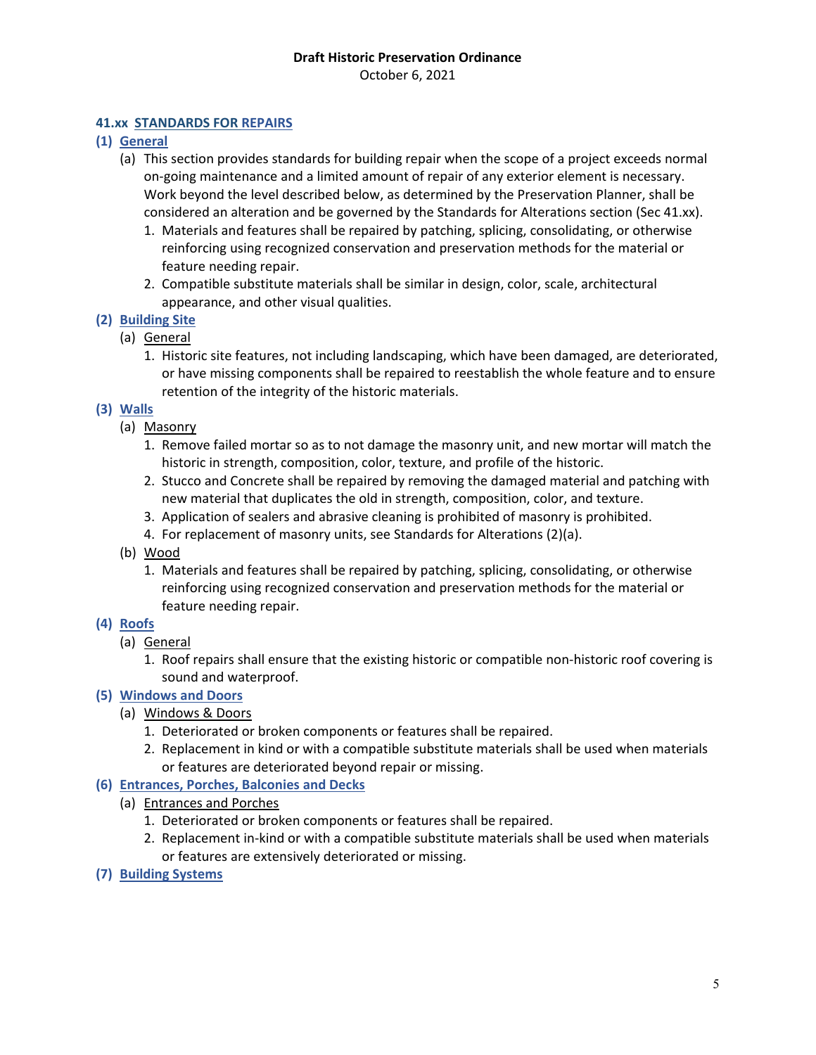October 6, 2021

## **41.xx STANDARDS FOR REPAIRS**

- **(1) General**
	- (a) This section provides standards for building repair when the scope of a project exceeds normal on-going maintenance and a limited amount of repair of any exterior element is necessary. Work beyond the level described below, as determined by the Preservation Planner, shall be considered an alteration and be governed by the Standards for Alterations section (Sec 41.xx).
		- 1. Materials and features shall be repaired by patching, splicing, consolidating, or otherwise reinforcing using recognized conservation and preservation methods for the material or feature needing repair.
		- 2. Compatible substitute materials shall be similar in design, color, scale, architectural appearance, and other visual qualities.
- **(2) Building Site**
	- (a) General
		- 1. Historic site features, not including landscaping, which have been damaged, are deteriorated, or have missing components shall be repaired to reestablish the whole feature and to ensure retention of the integrity of the historic materials.

#### **(3) Walls**

- (a) Masonry
	- 1. Remove failed mortar so as to not damage the masonry unit, and new mortar will match the historic in strength, composition, color, texture, and profile of the historic.
	- 2. Stucco and Concrete shall be repaired by removing the damaged material and patching with new material that duplicates the old in strength, composition, color, and texture.
	- 3. Application of sealers and abrasive cleaning is prohibited of masonry is prohibited.
	- 4. For replacement of masonry units, see Standards for Alterations (2)(a).
- (b) Wood
	- 1. Materials and features shall be repaired by patching, splicing, consolidating, or otherwise reinforcing using recognized conservation and preservation methods for the material or feature needing repair.

## **(4) Roofs**

- (a) General
	- 1. Roof repairs shall ensure that the existing historic or compatible non-historic roof covering is sound and waterproof.

#### **(5) Windows and Doors**

- (a) Windows & Doors
	- 1. Deteriorated or broken components or features shall be repaired.
	- 2. Replacement in kind or with a compatible substitute materials shall be used when materials or features are deteriorated beyond repair or missing.

## **(6) Entrances, Porches, Balconies and Decks**

- (a) Entrances and Porches
	- 1. Deteriorated or broken components or features shall be repaired.
	- 2. Replacement in-kind or with a compatible substitute materials shall be used when materials or features are extensively deteriorated or missing.
- **(7) Building Systems**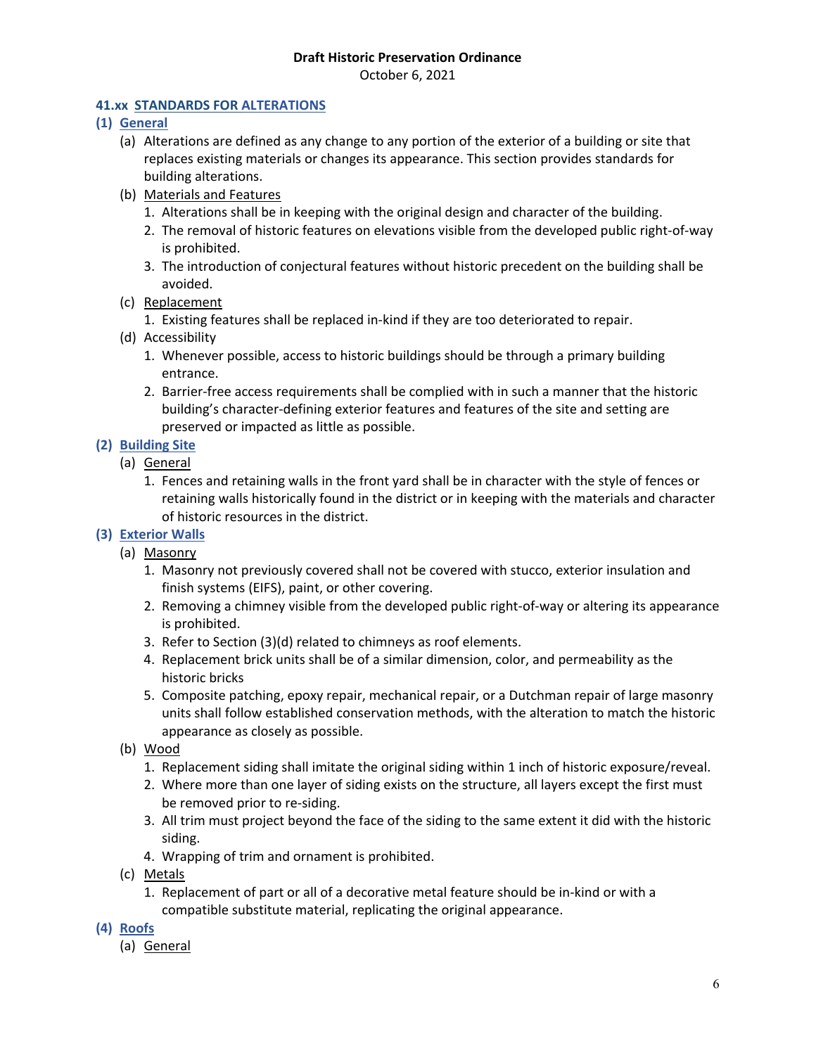October 6, 2021

## **41.xx STANDARDS FOR ALTERATIONS**

- **(1) General**
	- (a) Alterations are defined as any change to any portion of the exterior of a building or site that replaces existing materials or changes its appearance. This section provides standards for building alterations.
	- (b) Materials and Features
		- 1. Alterations shall be in keeping with the original design and character of the building.
		- 2. The removal of historic features on elevations visible from the developed public right-of-way is prohibited.
		- 3. The introduction of conjectural features without historic precedent on the building shall be avoided.
	- (c) Replacement
		- 1. Existing features shall be replaced in-kind if they are too deteriorated to repair.
	- (d) Accessibility
		- 1. Whenever possible, access to historic buildings should be through a primary building entrance.
		- 2. Barrier-free access requirements shall be complied with in such a manner that the historic building's character-defining exterior features and features of the site and setting are preserved or impacted as little as possible.
- **(2) Building Site**
	- (a) General
		- 1. Fences and retaining walls in the front yard shall be in character with the style of fences or retaining walls historically found in the district or in keeping with the materials and character of historic resources in the district.
- **(3) Exterior Walls**
	- (a) Masonry
		- 1. Masonry not previously covered shall not be covered with stucco, exterior insulation and finish systems (EIFS), paint, or other covering.
		- 2. Removing a chimney visible from the developed public right-of-way or altering its appearance is prohibited.
		- 3. Refer to Section (3)(d) related to chimneys as roof elements.
		- 4. Replacement brick units shall be of a similar dimension, color, and permeability as the historic bricks
		- 5. Composite patching, epoxy repair, mechanical repair, or a Dutchman repair of large masonry units shall follow established conservation methods, with the alteration to match the historic appearance as closely as possible.
	- (b) Wood
		- 1. Replacement siding shall imitate the original siding within 1 inch of historic exposure/reveal.
		- 2. Where more than one layer of siding exists on the structure, all layers except the first must be removed prior to re-siding.
		- 3. All trim must project beyond the face of the siding to the same extent it did with the historic siding.
		- 4. Wrapping of trim and ornament is prohibited.
	- (c) Metals
		- 1. Replacement of part or all of a decorative metal feature should be in-kind or with a compatible substitute material, replicating the original appearance.
- **(4) Roofs**
	- (a) General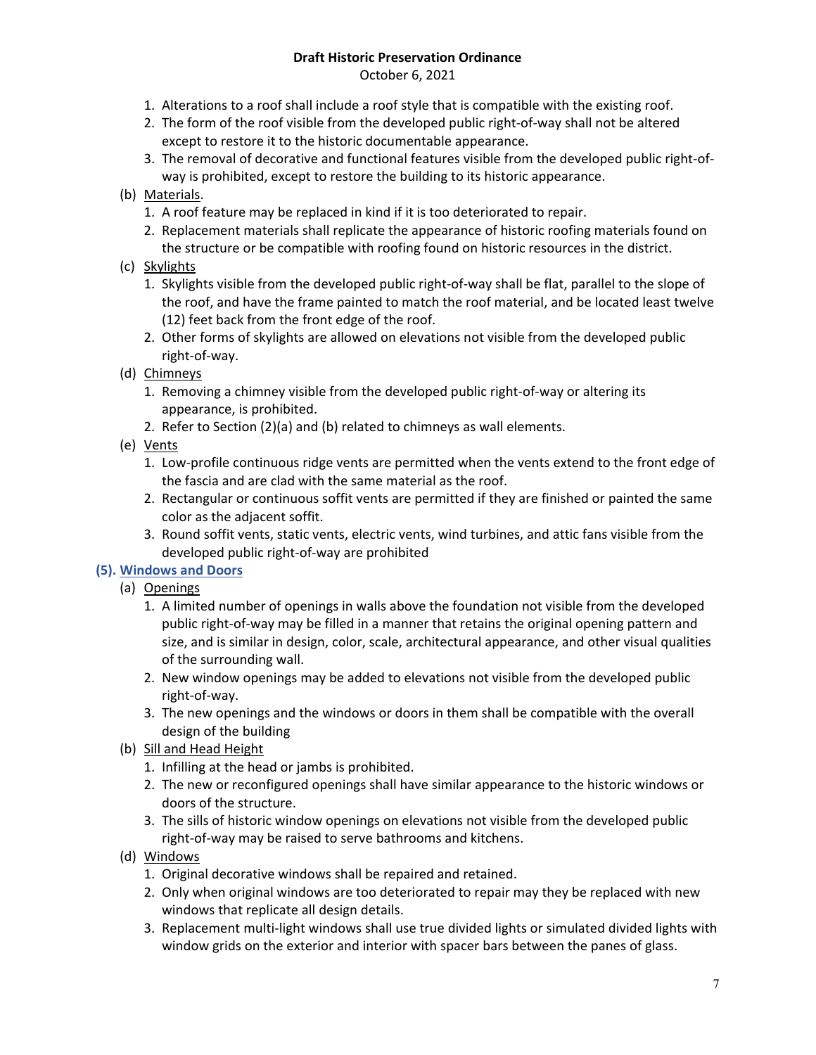October 6, 2021

- 1. Alterations to a roof shall include a roof style that is compatible with the existing roof.
- 2. The form of the roof visible from the developed public right-of-way shall not be altered except to restore it to the historic documentable appearance.
- 3. The removal of decorative and functional features visible from the developed public right-ofway is prohibited, except to restore the building to its historic appearance.
- (b) Materials.
	- 1. A roof feature may be replaced in kind if it is too deteriorated to repair.
	- 2. Replacement materials shall replicate the appearance of historic roofing materials found on the structure or be compatible with roofing found on historic resources in the district.
- (c) Skylights
	- 1. Skylights visible from the developed public right-of-way shall be flat, parallel to the slope of the roof, and have the frame painted to match the roof material, and be located least twelve (12) feet back from the front edge of the roof.
	- 2. Other forms of skylights are allowed on elevations not visible from the developed public right-of-way.
- (d) Chimneys
	- 1. Removing a chimney visible from the developed public right-of-way or altering its appearance, is prohibited.
	- 2. Refer to Section (2)(a) and (b) related to chimneys as wall elements.
- (e) Vents
	- 1. Low-profile continuous ridge vents are permitted when the vents extend to the front edge of the fascia and are clad with the same material as the roof.
	- 2. Rectangular or continuous soffit vents are permitted if they are finished or painted the same color as the adjacent soffit.
	- 3. Round soffit vents, static vents, electric vents, wind turbines, and attic fans visible from the developed public right-of-way are prohibited
- **(5). Windows and Doors**

(a) Openings

- 1. A limited number of openings in walls above the foundation not visible from the developed public right-of-way may be filled in a manner that retains the original opening pattern and size, and is similar in design, color, scale, architectural appearance, and other visual qualities of the surrounding wall.
- 2. New window openings may be added to elevations not visible from the developed public right-of-way.
- 3. The new openings and the windows or doors in them shall be compatible with the overall design of the building
- (b) Sill and Head Height
	- 1. Infilling at the head or jambs is prohibited.
	- 2. The new or reconfigured openings shall have similar appearance to the historic windows or doors of the structure.
	- 3. The sills of historic window openings on elevations not visible from the developed public right-of-way may be raised to serve bathrooms and kitchens.
- (d) Windows
	- 1. Original decorative windows shall be repaired and retained.
	- 2. Only when original windows are too deteriorated to repair may they be replaced with new windows that replicate all design details.
	- 3. Replacement multi-light windows shall use true divided lights or simulated divided lights with window grids on the exterior and interior with spacer bars between the panes of glass.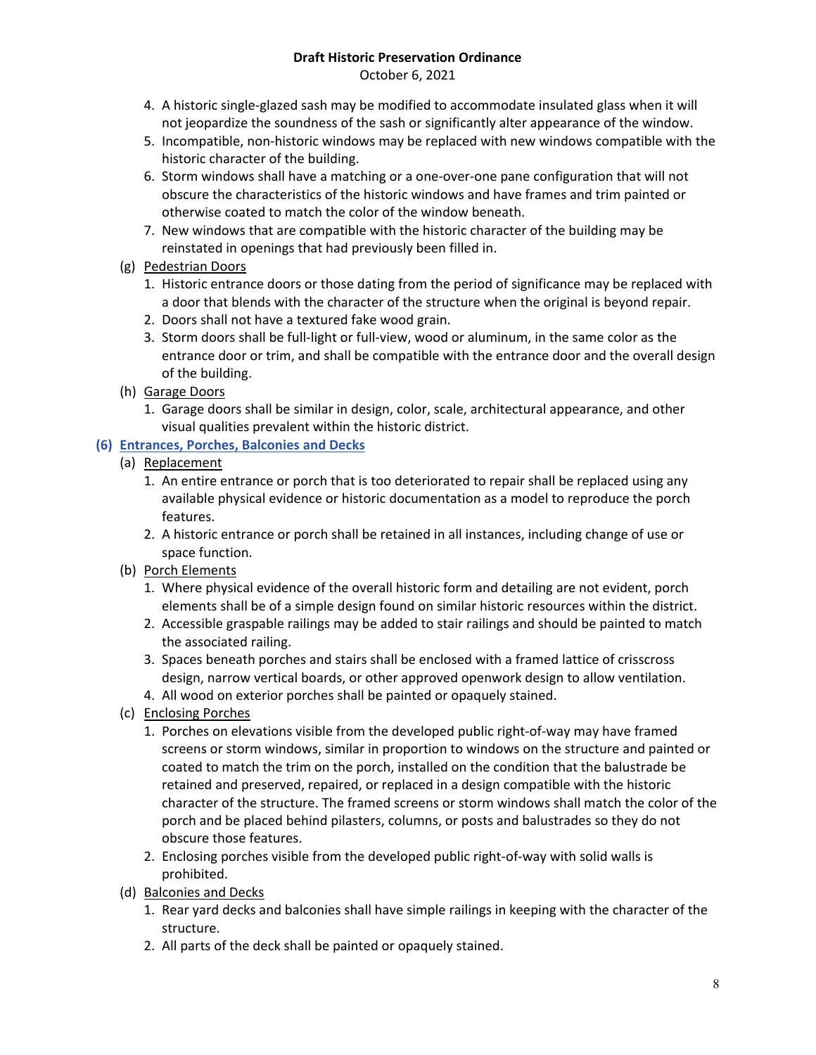October 6, 2021

- 4. A historic single-glazed sash may be modified to accommodate insulated glass when it will not jeopardize the soundness of the sash or significantly alter appearance of the window.
- 5. Incompatible, non-historic windows may be replaced with new windows compatible with the historic character of the building.
- 6. Storm windows shall have a matching or a one-over-one pane configuration that will not obscure the characteristics of the historic windows and have frames and trim painted or otherwise coated to match the color of the window beneath.
- 7. New windows that are compatible with the historic character of the building may be reinstated in openings that had previously been filled in.
- (g) Pedestrian Doors
	- 1. Historic entrance doors or those dating from the period of significance may be replaced with a door that blends with the character of the structure when the original is beyond repair.
	- 2. Doors shall not have a textured fake wood grain.
	- 3. Storm doors shall be full-light or full-view, wood or aluminum, in the same color as the entrance door or trim, and shall be compatible with the entrance door and the overall design of the building.
- (h) Garage Doors
	- 1. Garage doors shall be similar in design, color, scale, architectural appearance, and other visual qualities prevalent within the historic district.

# **(6) Entrances, Porches, Balconies and Decks**

- (a) Replacement
	- 1. An entire entrance or porch that is too deteriorated to repair shall be replaced using any available physical evidence or historic documentation as a model to reproduce the porch features.
	- 2. A historic entrance or porch shall be retained in all instances, including change of use or space function.
- (b) Porch Elements
	- 1. Where physical evidence of the overall historic form and detailing are not evident, porch elements shall be of a simple design found on similar historic resources within the district.
	- 2. Accessible graspable railings may be added to stair railings and should be painted to match the associated railing.
	- 3. Spaces beneath porches and stairs shall be enclosed with a framed lattice of crisscross design, narrow vertical boards, or other approved openwork design to allow ventilation.
	- 4. All wood on exterior porches shall be painted or opaquely stained.
- (c) Enclosing Porches
	- 1. Porches on elevations visible from the developed public right-of-way may have framed screens or storm windows, similar in proportion to windows on the structure and painted or coated to match the trim on the porch, installed on the condition that the balustrade be retained and preserved, repaired, or replaced in a design compatible with the historic character of the structure. The framed screens or storm windows shall match the color of the porch and be placed behind pilasters, columns, or posts and balustrades so they do not obscure those features.
	- 2. Enclosing porches visible from the developed public right-of-way with solid walls is prohibited.
- (d) Balconies and Decks
	- 1. Rear yard decks and balconies shall have simple railings in keeping with the character of the structure.
	- 2. All parts of the deck shall be painted or opaquely stained.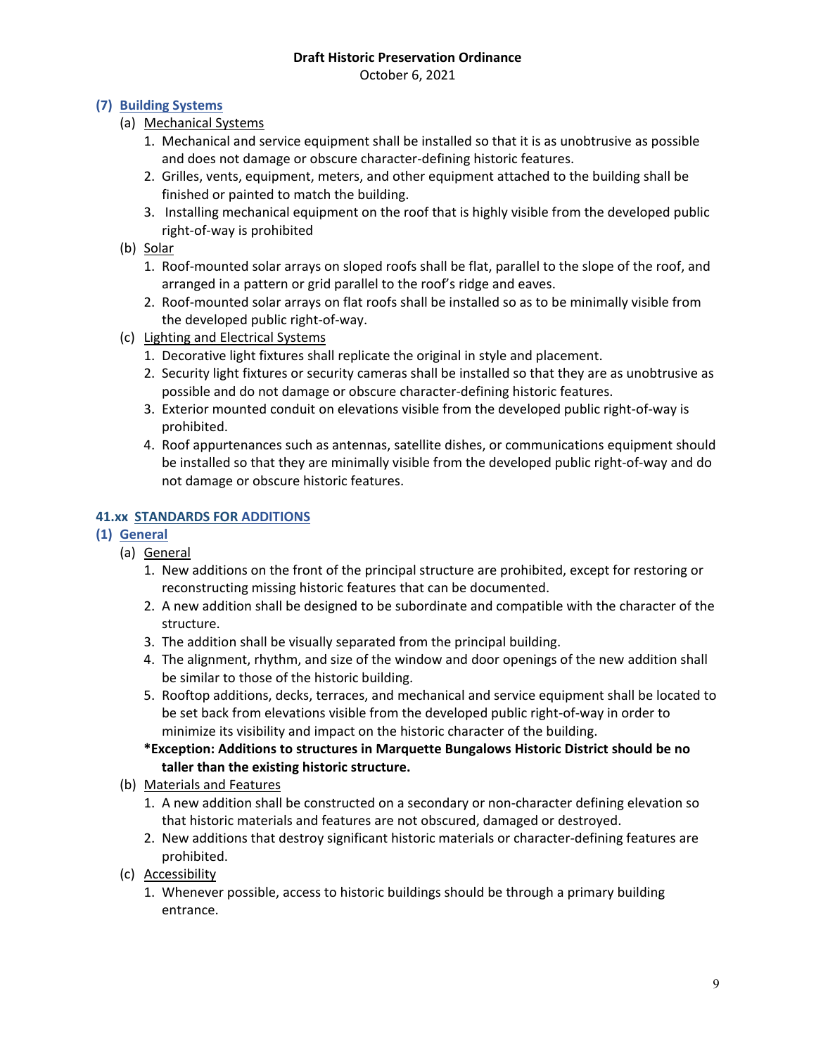October 6, 2021

## **(7) Building Systems**

- (a) Mechanical Systems
	- 1. Mechanical and service equipment shall be installed so that it is as unobtrusive as possible and does not damage or obscure character-defining historic features.
	- 2. Grilles, vents, equipment, meters, and other equipment attached to the building shall be finished or painted to match the building.
	- 3. Installing mechanical equipment on the roof that is highly visible from the developed public right-of-way is prohibited

## (b) Solar

- 1. Roof-mounted solar arrays on sloped roofs shall be flat, parallel to the slope of the roof, and arranged in a pattern or grid parallel to the roof's ridge and eaves.
- 2. Roof-mounted solar arrays on flat roofs shall be installed so as to be minimally visible from the developed public right-of-way.
- (c) Lighting and Electrical Systems
	- 1. Decorative light fixtures shall replicate the original in style and placement.
	- 2. Security light fixtures or security cameras shall be installed so that they are as unobtrusive as possible and do not damage or obscure character-defining historic features.
	- 3. Exterior mounted conduit on elevations visible from the developed public right-of-way is prohibited.
	- 4. Roof appurtenances such as antennas, satellite dishes, or communications equipment should be installed so that they are minimally visible from the developed public right-of-way and do not damage or obscure historic features.

## **41.xx STANDARDS FOR ADDITIONS**

# **(1) General**

- (a) General
	- 1. New additions on the front of the principal structure are prohibited, except for restoring or reconstructing missing historic features that can be documented.
	- 2. A new addition shall be designed to be subordinate and compatible with the character of the structure.
	- 3. The addition shall be visually separated from the principal building.
	- 4. The alignment, rhythm, and size of the window and door openings of the new addition shall be similar to those of the historic building.
	- 5. Rooftop additions, decks, terraces, and mechanical and service equipment shall be located to be set back from elevations visible from the developed public right-of-way in order to minimize its visibility and impact on the historic character of the building.
	- **\*Exception: Additions to structures in Marquette Bungalows Historic District should be no taller than the existing historic structure.**
- (b) Materials and Features
	- 1. A new addition shall be constructed on a secondary or non-character defining elevation so that historic materials and features are not obscured, damaged or destroyed.
	- 2. New additions that destroy significant historic materials or character-defining features are prohibited.
- (c) Accessibility
	- 1. Whenever possible, access to historic buildings should be through a primary building entrance.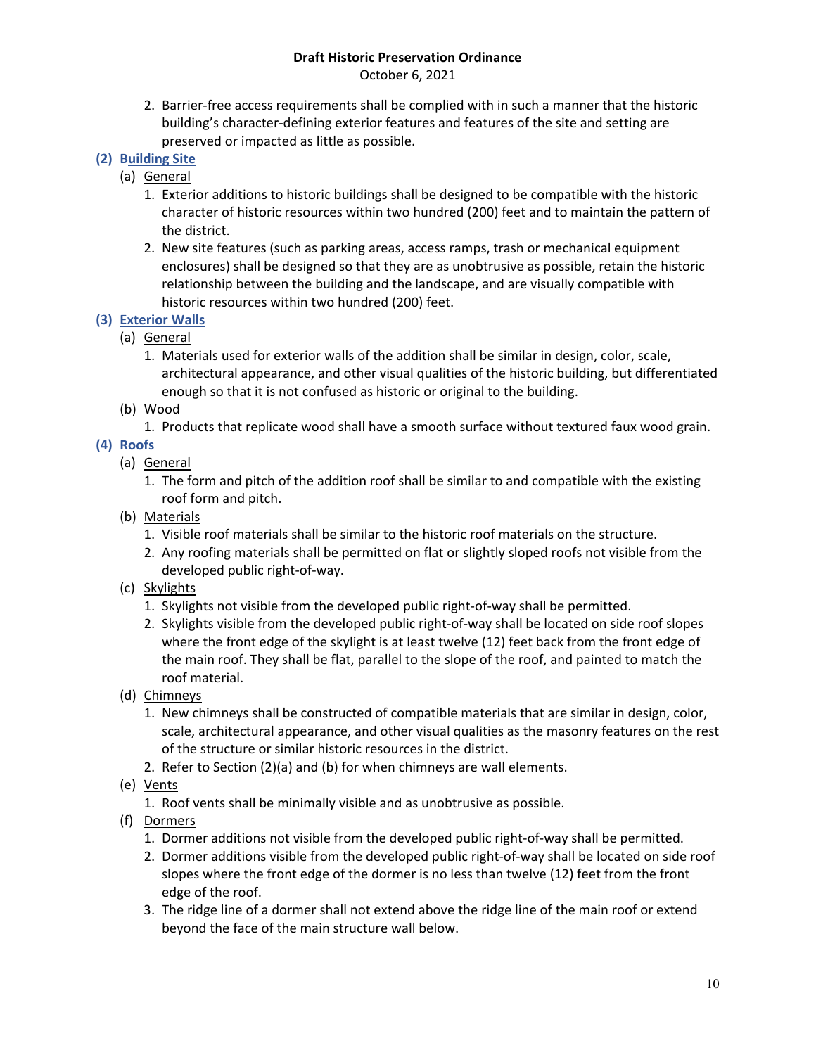October 6, 2021

2. Barrier-free access requirements shall be complied with in such a manner that the historic building's character-defining exterior features and features of the site and setting are preserved or impacted as little as possible.

## **(2) Building Site**

- (a) General
	- 1. Exterior additions to historic buildings shall be designed to be compatible with the historic character of historic resources within two hundred (200) feet and to maintain the pattern of the district.
	- 2. New site features (such as parking areas, access ramps, trash or mechanical equipment enclosures) shall be designed so that they are as unobtrusive as possible, retain the historic relationship between the building and the landscape, and are visually compatible with historic resources within two hundred (200) feet.
- **(3) Exterior Walls**
	- (a) General
		- 1. Materials used for exterior walls of the addition shall be similar in design, color, scale, architectural appearance, and other visual qualities of the historic building, but differentiated enough so that it is not confused as historic or original to the building.
	- (b) Wood
		- 1. Products that replicate wood shall have a smooth surface without textured faux wood grain.

# **(4) Roofs**

- (a) General
	- 1. The form and pitch of the addition roof shall be similar to and compatible with the existing roof form and pitch.
- (b) Materials
	- 1. Visible roof materials shall be similar to the historic roof materials on the structure.
	- 2. Any roofing materials shall be permitted on flat or slightly sloped roofs not visible from the developed public right-of-way.
- (c) Skylights
	- 1. Skylights not visible from the developed public right-of-way shall be permitted.
	- 2. Skylights visible from the developed public right-of-way shall be located on side roof slopes where the front edge of the skylight is at least twelve (12) feet back from the front edge of the main roof. They shall be flat, parallel to the slope of the roof, and painted to match the roof material.
- (d) Chimneys
	- 1. New chimneys shall be constructed of compatible materials that are similar in design, color, scale, architectural appearance, and other visual qualities as the masonry features on the rest of the structure or similar historic resources in the district.
	- 2. Refer to Section (2)(a) and (b) for when chimneys are wall elements.
- (e) Vents
	- 1. Roof vents shall be minimally visible and as unobtrusive as possible.
- (f) Dormers
	- 1. Dormer additions not visible from the developed public right-of-way shall be permitted.
	- 2. Dormer additions visible from the developed public right-of-way shall be located on side roof slopes where the front edge of the dormer is no less than twelve (12) feet from the front edge of the roof.
	- 3. The ridge line of a dormer shall not extend above the ridge line of the main roof or extend beyond the face of the main structure wall below.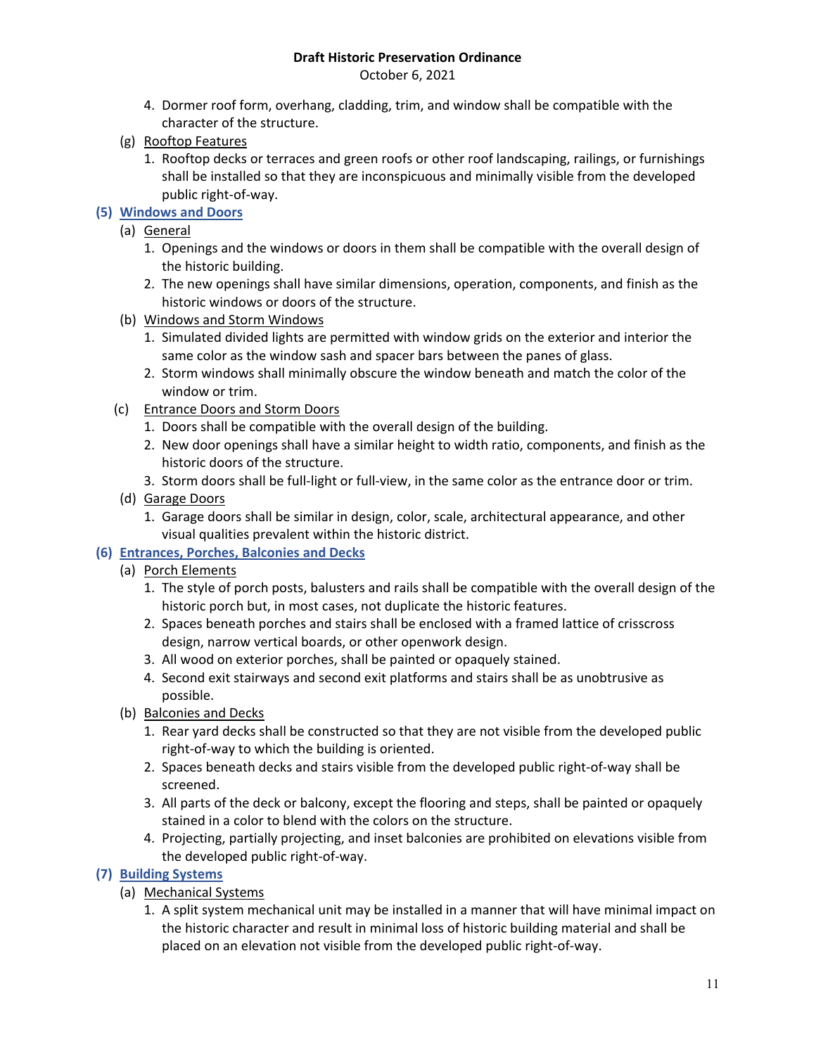October 6, 2021

- 4. Dormer roof form, overhang, cladding, trim, and window shall be compatible with the character of the structure.
- (g) Rooftop Features
	- 1. Rooftop decks or terraces and green roofs or other roof landscaping, railings, or furnishings shall be installed so that they are inconspicuous and minimally visible from the developed public right-of-way.

# **(5) Windows and Doors**

- (a) General
	- 1. Openings and the windows or doors in them shall be compatible with the overall design of the historic building.
	- 2. The new openings shall have similar dimensions, operation, components, and finish as the historic windows or doors of the structure.
- (b) Windows and Storm Windows
	- 1. Simulated divided lights are permitted with window grids on the exterior and interior the same color as the window sash and spacer bars between the panes of glass.
	- 2. Storm windows shall minimally obscure the window beneath and match the color of the window or trim.
- (c) Entrance Doors and Storm Doors
	- 1. Doors shall be compatible with the overall design of the building.
	- 2. New door openings shall have a similar height to width ratio, components, and finish as the historic doors of the structure.
	- 3. Storm doors shall be full-light or full-view, in the same color as the entrance door or trim.
- (d) Garage Doors
	- 1. Garage doors shall be similar in design, color, scale, architectural appearance, and other visual qualities prevalent within the historic district.

# **(6) Entrances, Porches, Balconies and Decks**

- (a) Porch Elements
	- 1. The style of porch posts, balusters and rails shall be compatible with the overall design of the historic porch but, in most cases, not duplicate the historic features.
	- 2. Spaces beneath porches and stairs shall be enclosed with a framed lattice of crisscross design, narrow vertical boards, or other openwork design.
	- 3. All wood on exterior porches, shall be painted or opaquely stained.
	- 4. Second exit stairways and second exit platforms and stairs shall be as unobtrusive as possible.
- (b) Balconies and Decks
	- 1. Rear yard decks shall be constructed so that they are not visible from the developed public right-of-way to which the building is oriented.
	- 2. Spaces beneath decks and stairs visible from the developed public right-of-way shall be screened.
	- 3. All parts of the deck or balcony, except the flooring and steps, shall be painted or opaquely stained in a color to blend with the colors on the structure.
	- 4. Projecting, partially projecting, and inset balconies are prohibited on elevations visible from the developed public right-of-way.

## **(7) Building Systems**

- (a) Mechanical Systems
	- 1. A split system mechanical unit may be installed in a manner that will have minimal impact on the historic character and result in minimal loss of historic building material and shall be placed on an elevation not visible from the developed public right-of-way.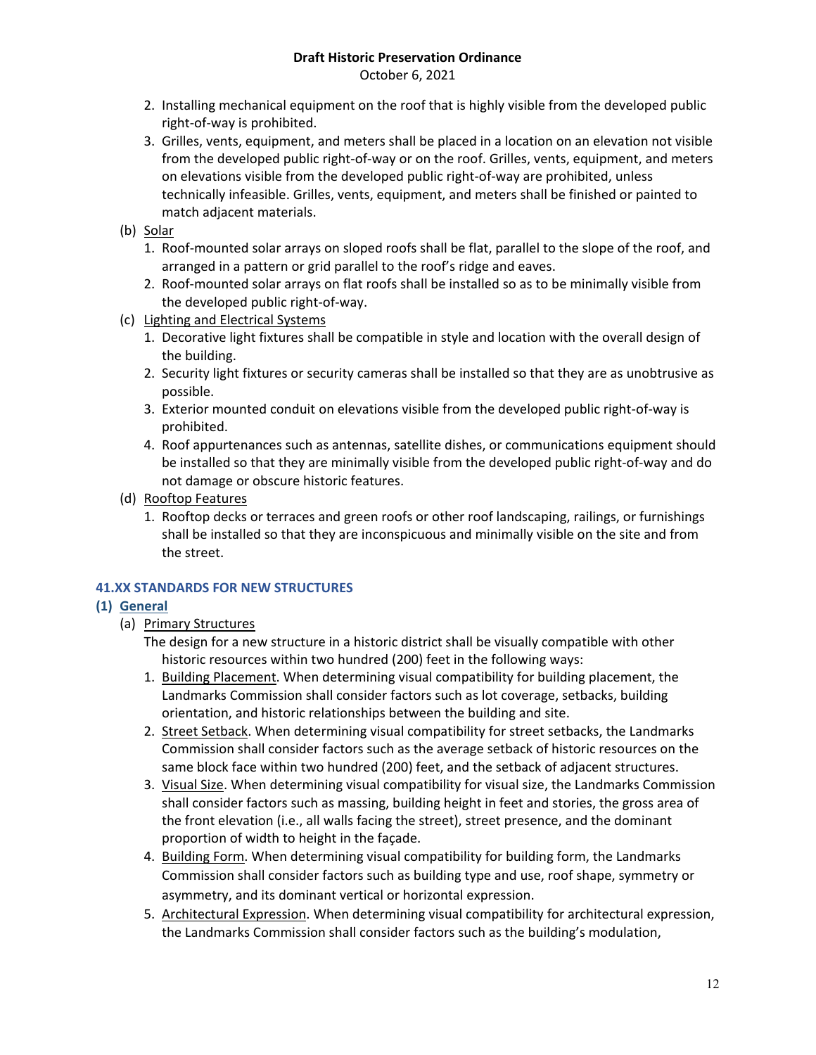October 6, 2021

- 2. Installing mechanical equipment on the roof that is highly visible from the developed public right-of-way is prohibited.
- 3. Grilles, vents, equipment, and meters shall be placed in a location on an elevation not visible from the developed public right-of-way or on the roof. Grilles, vents, equipment, and meters on elevations visible from the developed public right-of-way are prohibited, unless technically infeasible. Grilles, vents, equipment, and meters shall be finished or painted to match adjacent materials.
- (b) Solar
	- 1. Roof-mounted solar arrays on sloped roofs shall be flat, parallel to the slope of the roof, and arranged in a pattern or grid parallel to the roof's ridge and eaves.
	- 2. Roof-mounted solar arrays on flat roofs shall be installed so as to be minimally visible from the developed public right-of-way.
- (c) Lighting and Electrical Systems
	- 1. Decorative light fixtures shall be compatible in style and location with the overall design of the building.
	- 2. Security light fixtures or security cameras shall be installed so that they are as unobtrusive as possible.
	- 3. Exterior mounted conduit on elevations visible from the developed public right-of-way is prohibited.
	- 4. Roof appurtenances such as antennas, satellite dishes, or communications equipment should be installed so that they are minimally visible from the developed public right-of-way and do not damage or obscure historic features.
- (d) Rooftop Features
	- 1. Rooftop decks or terraces and green roofs or other roof landscaping, railings, or furnishings shall be installed so that they are inconspicuous and minimally visible on the site and from the street.

# **41.XX STANDARDS FOR NEW STRUCTURES**

## **(1) General**

# (a) Primary Structures

The design for a new structure in a historic district shall be visually compatible with other historic resources within two hundred (200) feet in the following ways:

- 1. Building Placement. When determining visual compatibility for building placement, the Landmarks Commission shall consider factors such as lot coverage, setbacks, building orientation, and historic relationships between the building and site.
- 2. Street Setback. When determining visual compatibility for street setbacks, the Landmarks Commission shall consider factors such as the average setback of historic resources on the same block face within two hundred (200) feet, and the setback of adjacent structures.
- 3. Visual Size. When determining visual compatibility for visual size, the Landmarks Commission shall consider factors such as massing, building height in feet and stories, the gross area of the front elevation (i.e., all walls facing the street), street presence, and the dominant proportion of width to height in the façade.
- 4. Building Form. When determining visual compatibility for building form, the Landmarks Commission shall consider factors such as building type and use, roof shape, symmetry or asymmetry, and its dominant vertical or horizontal expression.
- 5. Architectural Expression. When determining visual compatibility for architectural expression, the Landmarks Commission shall consider factors such as the building's modulation,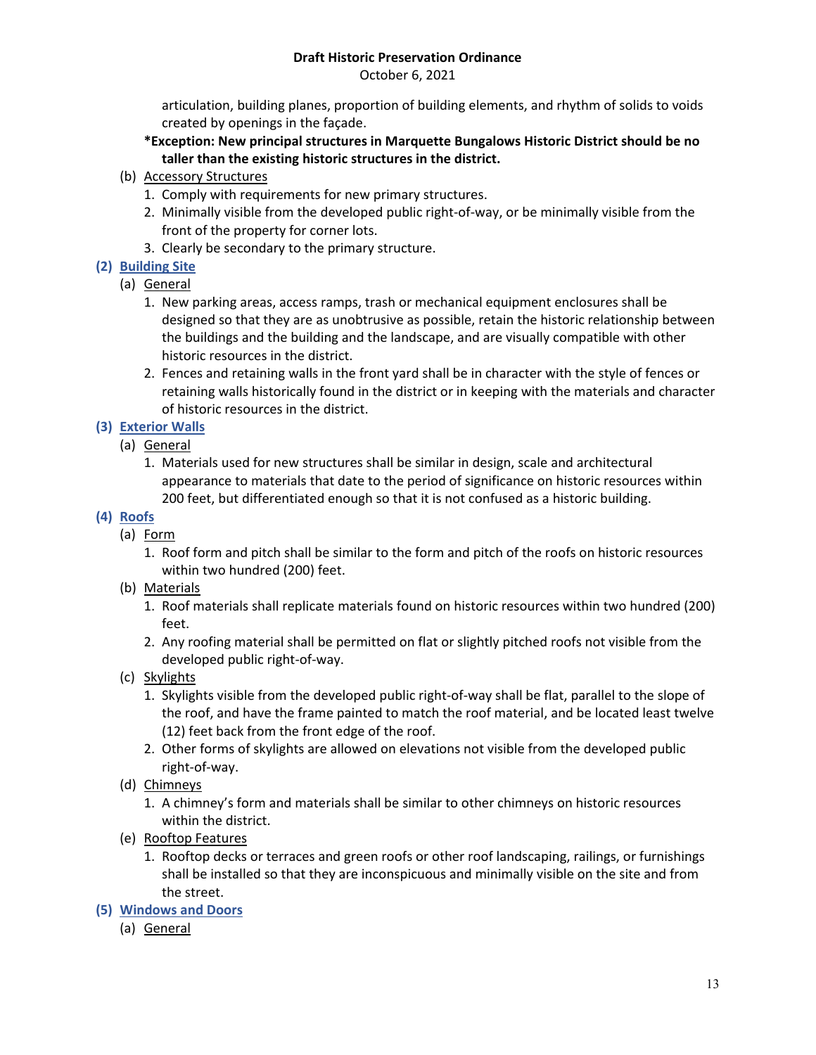October 6, 2021

articulation, building planes, proportion of building elements, and rhythm of solids to voids created by openings in the façade.

- **\*Exception: New principal structures in Marquette Bungalows Historic District should be no taller than the existing historic structures in the district.**
- (b) Accessory Structures
	- 1. Comply with requirements for new primary structures.
	- 2. Minimally visible from the developed public right-of-way, or be minimally visible from the front of the property for corner lots.
	- 3. Clearly be secondary to the primary structure.

# **(2) Building Site**

- (a) General
	- 1. New parking areas, access ramps, trash or mechanical equipment enclosures shall be designed so that they are as unobtrusive as possible, retain the historic relationship between the buildings and the building and the landscape, and are visually compatible with other historic resources in the district.
	- 2. Fences and retaining walls in the front yard shall be in character with the style of fences or retaining walls historically found in the district or in keeping with the materials and character of historic resources in the district.

# **(3) Exterior Walls**

- (a) General
	- 1. Materials used for new structures shall be similar in design, scale and architectural appearance to materials that date to the period of significance on historic resources within 200 feet, but differentiated enough so that it is not confused as a historic building.

# **(4) Roofs**

- (a) Form
	- 1. Roof form and pitch shall be similar to the form and pitch of the roofs on historic resources within two hundred (200) feet.
- (b) Materials
	- 1. Roof materials shall replicate materials found on historic resources within two hundred (200) feet.
	- 2. Any roofing material shall be permitted on flat or slightly pitched roofs not visible from the developed public right-of-way.
- (c) Skylights
	- 1. Skylights visible from the developed public right-of-way shall be flat, parallel to the slope of the roof, and have the frame painted to match the roof material, and be located least twelve (12) feet back from the front edge of the roof.
	- 2. Other forms of skylights are allowed on elevations not visible from the developed public right-of-way.
- (d) Chimneys
	- 1. A chimney's form and materials shall be similar to other chimneys on historic resources within the district.
- (e) Rooftop Features
	- 1. Rooftop decks or terraces and green roofs or other roof landscaping, railings, or furnishings shall be installed so that they are inconspicuous and minimally visible on the site and from the street.
- **(5) Windows and Doors**
	- (a) General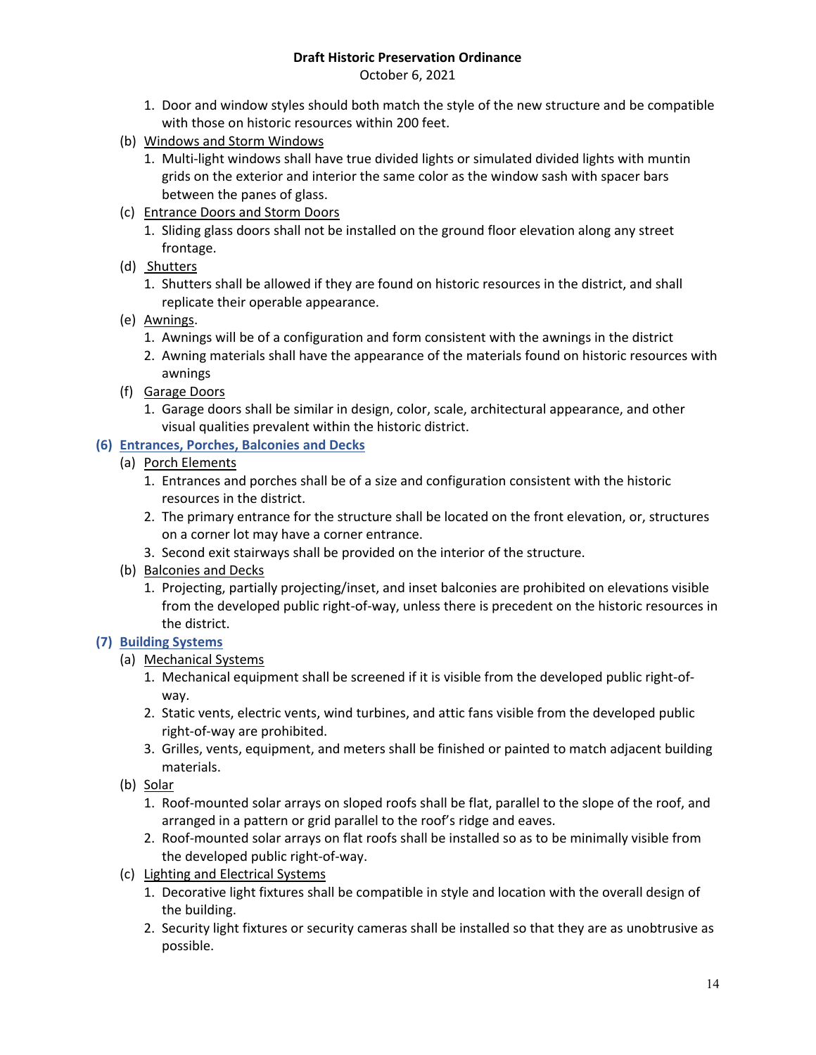October 6, 2021

- 1. Door and window styles should both match the style of the new structure and be compatible with those on historic resources within 200 feet.
- (b) Windows and Storm Windows
	- 1. Multi-light windows shall have true divided lights or simulated divided lights with muntin grids on the exterior and interior the same color as the window sash with spacer bars between the panes of glass.
- (c) Entrance Doors and Storm Doors
	- 1. Sliding glass doors shall not be installed on the ground floor elevation along any street frontage.
- (d) Shutters
	- 1. Shutters shall be allowed if they are found on historic resources in the district, and shall replicate their operable appearance.
- (e) Awnings.
	- 1. Awnings will be of a configuration and form consistent with the awnings in the district
	- 2. Awning materials shall have the appearance of the materials found on historic resources with awnings
- (f) Garage Doors
	- 1. Garage doors shall be similar in design, color, scale, architectural appearance, and other visual qualities prevalent within the historic district.

## **(6) Entrances, Porches, Balconies and Decks**

- (a) Porch Elements
	- 1. Entrances and porches shall be of a size and configuration consistent with the historic resources in the district.
	- 2. The primary entrance for the structure shall be located on the front elevation, or, structures on a corner lot may have a corner entrance.
	- 3. Second exit stairways shall be provided on the interior of the structure.
- (b) Balconies and Decks
	- 1. Projecting, partially projecting/inset, and inset balconies are prohibited on elevations visible from the developed public right-of-way, unless there is precedent on the historic resources in the district.

## **(7) Building Systems**

- (a) Mechanical Systems
	- 1. Mechanical equipment shall be screened if it is visible from the developed public right-ofway.
	- 2. Static vents, electric vents, wind turbines, and attic fans visible from the developed public right-of-way are prohibited.
	- 3. Grilles, vents, equipment, and meters shall be finished or painted to match adjacent building materials.
- (b) Solar
	- 1. Roof-mounted solar arrays on sloped roofs shall be flat, parallel to the slope of the roof, and arranged in a pattern or grid parallel to the roof's ridge and eaves.
	- 2. Roof-mounted solar arrays on flat roofs shall be installed so as to be minimally visible from the developed public right-of-way.
- (c) Lighting and Electrical Systems
	- 1. Decorative light fixtures shall be compatible in style and location with the overall design of the building.
	- 2. Security light fixtures or security cameras shall be installed so that they are as unobtrusive as possible.